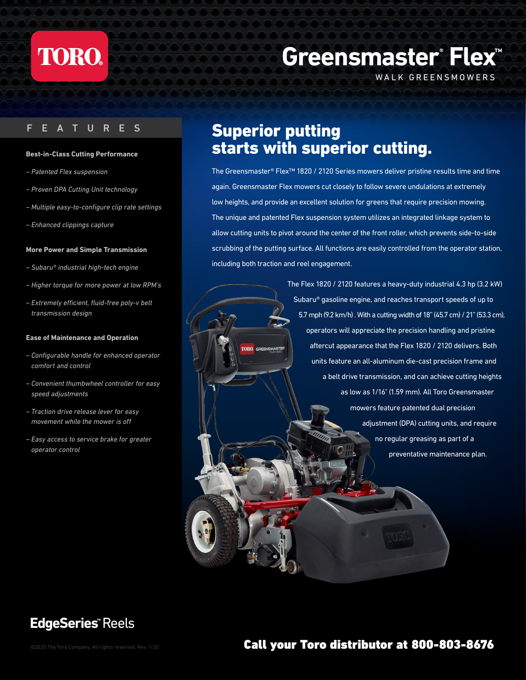

### F E A TURES

#### **Best-in-Class Cutting Performance**

- *Patented Flex suspension*
- *Proven DPA Cutting Unit technology*
- *Multiple easy-to-configure clip rate settings*
- *Enhanced clippings capture*

#### **More Power and Simple Transmission**

- *Subaru® industrial high-tech engine*
- *Higher torque for more power at low RPM's*
- *Extremely efficient, fluid-free poly-v belt transmission design*

#### **Ease of Maintenance and Operation**

- *Configurable handle for enhanced operator comfort and control*
- *Convenient thumbwheel controller for easy speed adjustments*
- *Traction drive release lever for easy movement while the mower is off*
- *Easy access to service brake for greater operator control*

# **Greensmaster® Flex™**

WALK GREENSMOWERS

# Superior putting starts with superior cutting.

**TORO** GREENSMASTER

The Greensmaster® Flex™ 1820 / 2120 Series mowers deliver pristine results time and time again. Greensmaster Flex mowers cut closely to follow severe undulations at extremely low heights, and provide an excellent solution for greens that require precision mowing. The unique and patented Flex suspension system utilizes an integrated linkage system to allow cutting units to pivot around the center of the front roller, which prevents side-to-side scrubbing of the putting surface. All functions are easily controlled from the operator station, including both traction and reel engagement.

> The Flex 1820 / 2120 features a heavy-duty industrial 4.3 hp (3.2 kW) Subaru® gasoline engine, and reaches transport speeds of up to 5.7 mph (9.2 km/h) . With a cutting width of 18" (45.7 cm) / 21" (53.3 cm), operators will appreciate the precision handling and pristine aftercut appearance that the Flex 1820 / 2120 delivers. Both units feature an all-aluminum die-cast precision frame and a belt drive transmission, and can achieve cutting heights as low as 1/16" (1.59 mm). All Toro Greensmaster mowers feature patented dual precision adjustment (DPA) cutting units, and require no regular greasing as part of a preventative maintenance plan.

## **EdgeSeries™** Reels

### ©2020 The Toro Company. All rights reserved. Rev. 1/20 Call your Toro distributor at 800-803-8676